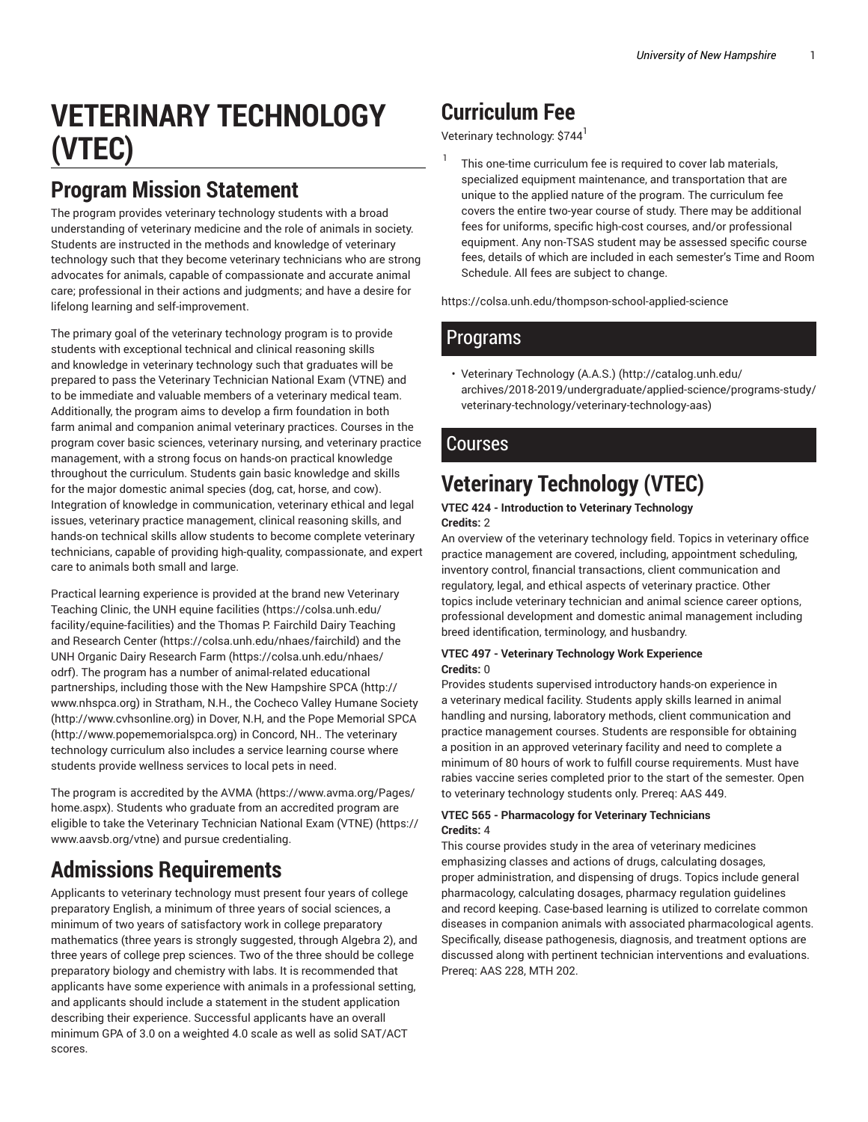# **VETERINARY TECHNOLOGY (VTEC)**

## **Program Mission Statement**

The program provides veterinary technology students with a broad understanding of veterinary medicine and the role of animals in society. Students are instructed in the methods and knowledge of veterinary technology such that they become veterinary technicians who are strong advocates for animals, capable of compassionate and accurate animal care; professional in their actions and judgments; and have a desire for lifelong learning and self-improvement.

The primary goal of the veterinary technology program is to provide students with exceptional technical and clinical reasoning skills and knowledge in veterinary technology such that graduates will be prepared to pass the Veterinary Technician National Exam (VTNE) and to be immediate and valuable members of a veterinary medical team. Additionally, the program aims to develop a firm foundation in both farm animal and companion animal veterinary practices. Courses in the program cover basic sciences, veterinary nursing, and veterinary practice management, with a strong focus on hands-on practical knowledge throughout the curriculum. Students gain basic knowledge and skills for the major domestic animal species (dog, cat, horse, and cow). Integration of knowledge in communication, veterinary ethical and legal issues, veterinary practice management, clinical reasoning skills, and hands-on technical skills allow students to become complete veterinary technicians, capable of providing high-quality, compassionate, and expert care to animals both small and large.

Practical learning experience is provided at the brand new Veterinary Teaching Clinic, the UNH equine facilities (https://colsa.unh.edu/ facility/equine-facilities) and the Thomas P. Fairchild Dairy Teaching and Research Center (https://colsa.unh.edu/nhaes/fairchild) and the UNH Organic Dairy Research Farm (https://colsa.unh.edu/nhaes/ odrf). The program has a number of animal-related educational partnerships, including those with the New Hampshire SPCA (http:// www.nhspca.org) in Stratham, N.H., the Cocheco Valley Humane Society (http://www.cvhsonline.org) in Dover, N.H, and the Pope Memorial SPCA (http://www.popememorialspca.org) in Concord, NH.. The veterinary technology curriculum also includes a service learning course where students provide wellness services to local pets in need.

The program is accredited by the AVMA (https://www.avma.org/Pages/ home.aspx). Students who graduate from an accredited program are eligible to take the Veterinary Technician National Exam (VTNE) (https:// www.aavsb.org/vtne) and pursue credentialing.

## **Admissions Requirements**

Applicants to veterinary technology must present four years of college preparatory English, a minimum of three years of social sciences, a minimum of two years of satisfactory work in college preparatory mathematics (three years is strongly suggested, through Algebra 2), and three years of college prep sciences. Two of the three should be college preparatory biology and chemistry with labs. It is recommended that applicants have some experience with animals in a professional setting, and applicants should include a statement in the student application describing their experience. Successful applicants have an overall minimum GPA of 3.0 on a weighted 4.0 scale as well as solid SAT/ACT scores.

## **Curriculum Fee**

Veterinary technology: \$744 $^{\rm l}$ 

1 This one-time curriculum fee is required to cover lab materials, specialized equipment maintenance, and transportation that are unique to the applied nature of the program. The curriculum fee covers the entire two-year course of study. There may be additional fees for uniforms, specific high-cost courses, and/or professional equipment. Any non-TSAS student may be assessed specific course fees, details of which are included in each semester's Time and Room Schedule. All fees are subject to change.

https://colsa.unh.edu/thompson-school-applied-science

### Programs

• Veterinary Technology (A.A.S.) (http://catalog.unh.edu/ archives/2018-2019/undergraduate/applied-science/programs-study/ veterinary-technology/veterinary-technology-aas)

### Courses

## **Veterinary Technology (VTEC)**

#### **VTEC 424 - Introduction to Veterinary Technology Credits:** 2

An overview of the veterinary technology field. Topics in veterinary office practice management are covered, including, appointment scheduling, inventory control, financial transactions, client communication and regulatory, legal, and ethical aspects of veterinary practice. Other topics include veterinary technician and animal science career options, professional development and domestic animal management including breed identification, terminology, and husbandry.

#### **VTEC 497 - Veterinary Technology Work Experience Credits:** 0

Provides students supervised introductory hands-on experience in a veterinary medical facility. Students apply skills learned in animal handling and nursing, laboratory methods, client communication and practice management courses. Students are responsible for obtaining a position in an approved veterinary facility and need to complete a minimum of 80 hours of work to fulfill course requirements. Must have rabies vaccine series completed prior to the start of the semester. Open to veterinary technology students only. Prereq: AAS 449.

#### **VTEC 565 - Pharmacology for Veterinary Technicians Credits:** 4

This course provides study in the area of veterinary medicines emphasizing classes and actions of drugs, calculating dosages, proper administration, and dispensing of drugs. Topics include general pharmacology, calculating dosages, pharmacy regulation guidelines and record keeping. Case-based learning is utilized to correlate common diseases in companion animals with associated pharmacological agents. Specifically, disease pathogenesis, diagnosis, and treatment options are discussed along with pertinent technician interventions and evaluations. Prereq: AAS 228, MTH 202.